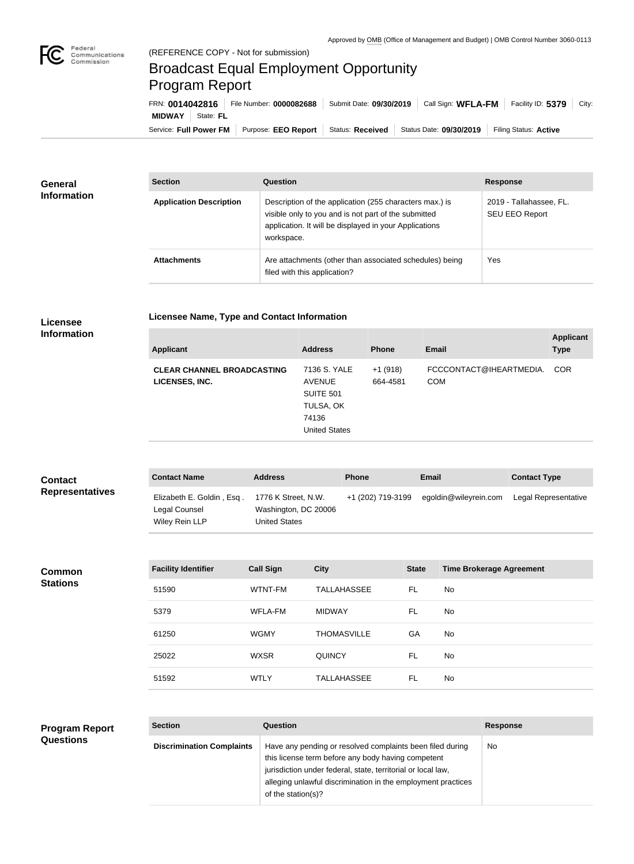

## Broadcast Equal Employment Opportunity Program Report

**Licensee Name, Type and Contact Information**

Service: Full Power FM Purpose: EEO Report | Status: Received | Status Date: 09/30/2019 | Filing Status: Active **MIDWAY** State: **FL** FRN: **0014042816** File Number: **0000082688** Submit Date: **09/30/2019** Call Sign: **WFLA-FM** Facility ID: **5379** City:

| <b>General</b>     | <b>Section</b>                 | Question                                                                                                                                                                                | <b>Response</b>                                  |
|--------------------|--------------------------------|-----------------------------------------------------------------------------------------------------------------------------------------------------------------------------------------|--------------------------------------------------|
| <b>Information</b> | <b>Application Description</b> | Description of the application (255 characters max.) is<br>visible only to you and is not part of the submitted<br>application. It will be displayed in your Applications<br>workspace. | 2019 - Tallahassee, FL.<br><b>SEU EEO Report</b> |
|                    | <b>Attachments</b>             | Are attachments (other than associated schedules) being<br>filed with this application?                                                                                                 | Yes                                              |

## **Licensee Information**

| <b>Applicant</b>                                    | <b>Address</b>                                                                           | <b>Phone</b>          | <b>Email</b>                          | <b>Applicant</b><br><b>Type</b> |
|-----------------------------------------------------|------------------------------------------------------------------------------------------|-----------------------|---------------------------------------|---------------------------------|
| <b>CLEAR CHANNEL BROADCASTING</b><br>LICENSES, INC. | 7136 S. YALE<br><b>AVENUE</b><br>SUITE 501<br>TULSA, OK<br>74136<br><b>United States</b> | $+1(918)$<br>664-4581 | FCCCONTACT@IHEARTMEDIA.<br><b>COM</b> | <b>COR</b>                      |
|                                                     |                                                                                          |                       |                                       |                                 |

| <b>Contact</b>         | <b>Contact Name</b>                                          | <b>Address</b>                                                      | <b>Phone</b>      | Email                 | <b>Contact Type</b>  |
|------------------------|--------------------------------------------------------------|---------------------------------------------------------------------|-------------------|-----------------------|----------------------|
| <b>Representatives</b> | Elizabeth E. Goldin, Esq.<br>Legal Counsel<br>Wiley Rein LLP | 1776 K Street, N.W.<br>Washington, DC 20006<br><b>United States</b> | +1 (202) 719-3199 | egoldin@wileyrein.com | Legal Representative |

**Common Stations**

| <b>Facility Identifier</b> | <b>Call Sign</b> | <b>City</b>        | <b>State</b> | <b>Time Brokerage Agreement</b> |
|----------------------------|------------------|--------------------|--------------|---------------------------------|
| 51590                      | WTNT-FM          | <b>TALLAHASSEE</b> | FL           | No.                             |
| 5379                       | WFLA-FM          | <b>MIDWAY</b>      | <b>FL</b>    | No.                             |
| 61250                      | <b>WGMY</b>      | <b>THOMASVILLE</b> | GA           | No.                             |
| 25022                      | <b>WXSR</b>      | <b>QUINCY</b>      | FL           | No.                             |
| 51592                      | <b>WTLY</b>      | <b>TALLAHASSEE</b> | FL           | No                              |

## **Program Report Questions**

| <b>Section</b>                   | Question                                                                                                                                                                                                                                                              | <b>Response</b> |
|----------------------------------|-----------------------------------------------------------------------------------------------------------------------------------------------------------------------------------------------------------------------------------------------------------------------|-----------------|
| <b>Discrimination Complaints</b> | Have any pending or resolved complaints been filed during<br>this license term before any body having competent<br>jurisdiction under federal, state, territorial or local law,<br>alleging unlawful discrimination in the employment practices<br>of the station(s)? | No.             |